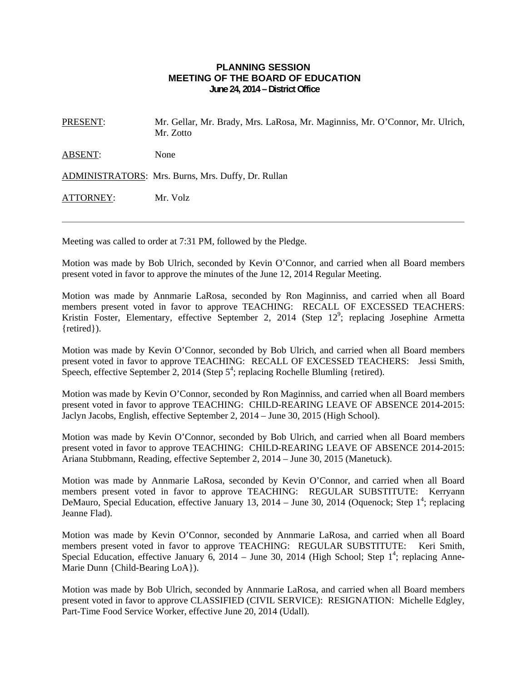## **PLANNING SESSION MEETING OF THE BOARD OF EDUCATION June 24, 2014 – District Office**

PRESENT: Mr. Gellar, Mr. Brady, Mrs. LaRosa, Mr. Maginniss, Mr. O'Connor, Mr. Ulrich, Mr. Zotto

ABSENT: None

ADMINISTRATORS: Mrs. Burns, Mrs. Duffy, Dr. Rullan

ATTORNEY: Mr. Volz

Meeting was called to order at 7:31 PM, followed by the Pledge.

Motion was made by Bob Ulrich, seconded by Kevin O'Connor, and carried when all Board members present voted in favor to approve the minutes of the June 12, 2014 Regular Meeting.

Motion was made by Annmarie LaRosa, seconded by Ron Maginniss, and carried when all Board members present voted in favor to approve TEACHING: RECALL OF EXCESSED TEACHERS: Kristin Foster, Elementary, effective September 2, 2014 (Step  $12^9$ ; replacing Josephine Armetta {retired}).

Motion was made by Kevin O'Connor, seconded by Bob Ulrich, and carried when all Board members present voted in favor to approve TEACHING: RECALL OF EXCESSED TEACHERS: Jessi Smith, Speech, effective September 2, 2014 (Step  $5^4$ ; replacing Rochelle Blumling {retired).

Motion was made by Kevin O'Connor, seconded by Ron Maginniss, and carried when all Board members present voted in favor to approve TEACHING: CHILD-REARING LEAVE OF ABSENCE 2014-2015: Jaclyn Jacobs, English, effective September 2, 2014 – June 30, 2015 (High School).

Motion was made by Kevin O'Connor, seconded by Bob Ulrich, and carried when all Board members present voted in favor to approve TEACHING: CHILD-REARING LEAVE OF ABSENCE 2014-2015: Ariana Stubbmann, Reading, effective September 2, 2014 – June 30, 2015 (Manetuck).

Motion was made by Annmarie LaRosa, seconded by Kevin O'Connor, and carried when all Board members present voted in favor to approve TEACHING: REGULAR SUBSTITUTE: Kerryann DeMauro, Special Education, effective January 13, 2014 – June 30, 2014 (Oquenock; Step 1<sup>4</sup>; replacing Jeanne Flad).

Motion was made by Kevin O'Connor, seconded by Annmarie LaRosa, and carried when all Board members present voted in favor to approve TEACHING: REGULAR SUBSTITUTE: Keri Smith, Special Education, effective January 6, 2014 – June 30, 2014 (High School; Step  $1^4$ ; replacing Anne-Marie Dunn {Child-Bearing LoA}).

Motion was made by Bob Ulrich, seconded by Annmarie LaRosa, and carried when all Board members present voted in favor to approve CLASSIFIED (CIVIL SERVICE): RESIGNATION: Michelle Edgley, Part-Time Food Service Worker, effective June 20, 2014 (Udall).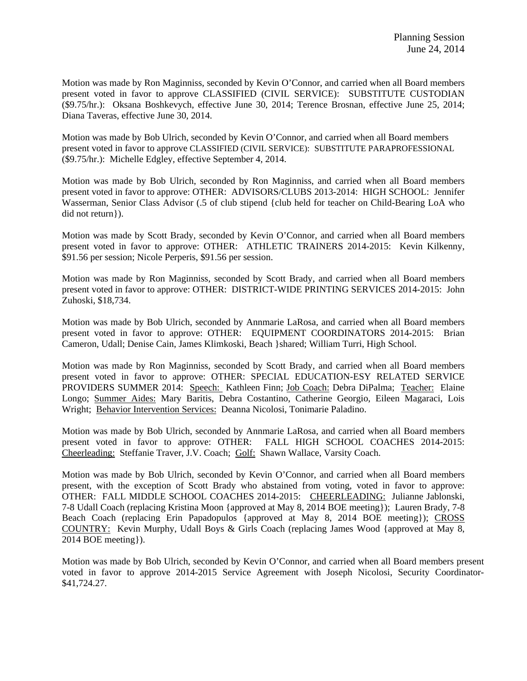Motion was made by Ron Maginniss, seconded by Kevin O'Connor, and carried when all Board members present voted in favor to approve CLASSIFIED (CIVIL SERVICE): SUBSTITUTE CUSTODIAN (\$9.75/hr.): Oksana Boshkevych, effective June 30, 2014; Terence Brosnan, effective June 25, 2014; Diana Taveras, effective June 30, 2014.

Motion was made by Bob Ulrich, seconded by Kevin O'Connor, and carried when all Board members present voted in favor to approve CLASSIFIED (CIVIL SERVICE): SUBSTITUTE PARAPROFESSIONAL (\$9.75/hr.): Michelle Edgley, effective September 4, 2014.

Motion was made by Bob Ulrich, seconded by Ron Maginniss, and carried when all Board members present voted in favor to approve: OTHER: ADVISORS/CLUBS 2013-2014: HIGH SCHOOL: Jennifer Wasserman, Senior Class Advisor (.5 of club stipend {club held for teacher on Child-Bearing LoA who did not return}).

Motion was made by Scott Brady, seconded by Kevin O'Connor, and carried when all Board members present voted in favor to approve: OTHER: ATHLETIC TRAINERS 2014-2015: Kevin Kilkenny, \$91.56 per session; Nicole Perperis, \$91.56 per session.

Motion was made by Ron Maginniss, seconded by Scott Brady, and carried when all Board members present voted in favor to approve: OTHER: DISTRICT-WIDE PRINTING SERVICES 2014-2015: John Zuhoski, \$18,734.

Motion was made by Bob Ulrich, seconded by Annmarie LaRosa, and carried when all Board members present voted in favor to approve: OTHER: EQUIPMENT COORDINATORS 2014-2015: Brian Cameron, Udall; Denise Cain, James Klimkoski, Beach }shared; William Turri, High School.

Motion was made by Ron Maginniss, seconded by Scott Brady, and carried when all Board members present voted in favor to approve: OTHER: SPECIAL EDUCATION-ESY RELATED SERVICE PROVIDERS SUMMER 2014: Speech: Kathleen Finn; Job Coach: Debra DiPalma; Teacher: Elaine Longo; Summer Aides: Mary Baritis, Debra Costantino, Catherine Georgio, Eileen Magaraci, Lois Wright; Behavior Intervention Services: Deanna Nicolosi, Tonimarie Paladino.

Motion was made by Bob Ulrich, seconded by Annmarie LaRosa, and carried when all Board members present voted in favor to approve: OTHER: FALL HIGH SCHOOL COACHES 2014-2015: Cheerleading: Steffanie Traver, J.V. Coach; Golf: Shawn Wallace, Varsity Coach.

Motion was made by Bob Ulrich, seconded by Kevin O'Connor, and carried when all Board members present, with the exception of Scott Brady who abstained from voting, voted in favor to approve: OTHER: FALL MIDDLE SCHOOL COACHES 2014-2015: CHEERLEADING: Julianne Jablonski, 7-8 Udall Coach (replacing Kristina Moon {approved at May 8, 2014 BOE meeting}); Lauren Brady, 7-8 Beach Coach (replacing Erin Papadopulos {approved at May 8, 2014 BOE meeting}); CROSS COUNTRY: Kevin Murphy, Udall Boys & Girls Coach (replacing James Wood {approved at May 8, 2014 BOE meeting}).

Motion was made by Bob Ulrich, seconded by Kevin O'Connor, and carried when all Board members present voted in favor to approve 2014-2015 Service Agreement with Joseph Nicolosi, Security Coordinator- \$41,724.27.